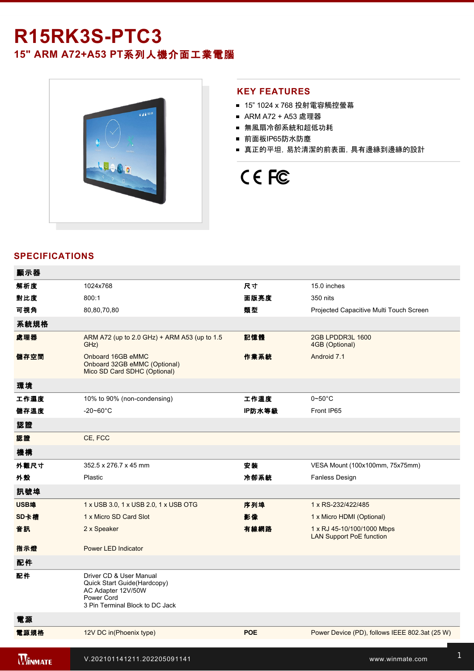# **R15RK3SPTC3**

**15" ARM A72+A53 PT**系列人機介面工業電腦



1 x Reset Button Burguera

### **KEY FEATURES**

- 15" 1024 x 768 投射電容觸控螢幕
- ARM A72 + A53 處理器
- 無風扇冷卻系統和超低功耗
- 前面板IP65防水防塵
- 真正的平坦, 易於清潔的前表面, 具有邊緣到邊緣的設計

# CE FC

#### **SPECIFICATIONS**

| 顯示器            |                                                                                                                               |            |                                                               |
|----------------|-------------------------------------------------------------------------------------------------------------------------------|------------|---------------------------------------------------------------|
| 解析度            | 1024x768                                                                                                                      | 尺寸         | 15.0 inches                                                   |
| 對比度            | 800:1                                                                                                                         | 面版亮度       | 350 nits                                                      |
| 可視角            | 80,80,70,80                                                                                                                   | 類型         | Projected Capacitive Multi Touch Screen                       |
| 系統規格           |                                                                                                                               |            |                                                               |
| 處理器            | ARM A72 (up to 2.0 GHz) + ARM A53 (up to 1.5<br>GHz)                                                                          | 記憶體        | 2GB LPDDR3L 1600<br>4GB (Optional)                            |
| 儲存空間           | Onboard 16GB eMMC<br>Onboard 32GB eMMC (Optional)<br>Mico SD Card SDHC (Optional)                                             | 作業系統       | Android 7.1                                                   |
| 環境             |                                                                                                                               |            |                                                               |
| 工作濕度           | 10% to 90% (non-condensing)                                                                                                   | 工作溫度       | $0\neg 50^\circ C$                                            |
| 儲存溫度           | $-20 - 60^{\circ}$ C                                                                                                          | IP防水等級     | Front IP65                                                    |
| 認證             |                                                                                                                               |            |                                                               |
| 認證             | CE, FCC                                                                                                                       |            |                                                               |
| 機構             |                                                                                                                               |            |                                                               |
| 外觀尺寸           | 352.5 x 276.7 x 45 mm                                                                                                         | 安装         | VESA Mount (100x100mm, 75x75mm)                               |
| 外殼             | Plastic                                                                                                                       | 冷卻系統       | Fanless Design                                                |
| 訊號埠            |                                                                                                                               |            |                                                               |
| USB埠           | 1 x USB 3.0, 1 x USB 2.0, 1 x USB OTG                                                                                         | 序列埠        | 1 x RS-232/422/485                                            |
| SD卡槽           | 1 x Micro SD Card Slot                                                                                                        | 影像         | 1 x Micro HDMI (Optional)                                     |
| 音訊             | 2 x Speaker                                                                                                                   | 有線網路       | 1 x RJ 45-10/100/1000 Mbps<br><b>LAN Support PoE function</b> |
| 指示燈            | Power LED Indicator                                                                                                           |            |                                                               |
| 配件             |                                                                                                                               |            |                                                               |
| 配件             | Driver CD & User Manual<br>Quick Start Guide(Hardcopy)<br>AC Adapter 12V/50W<br>Power Cord<br>3 Pin Terminal Block to DC Jack |            |                                                               |
| 電源             |                                                                                                                               |            |                                                               |
| 電源規格           | 12V DC in(Phoenix type)                                                                                                       | <b>POE</b> | Power Device (PD), follows IEEE 802.3at (25 W)                |
| <b>WINMATE</b> | V.202101141211.202205091141                                                                                                   |            | www.winmate.com                                               |